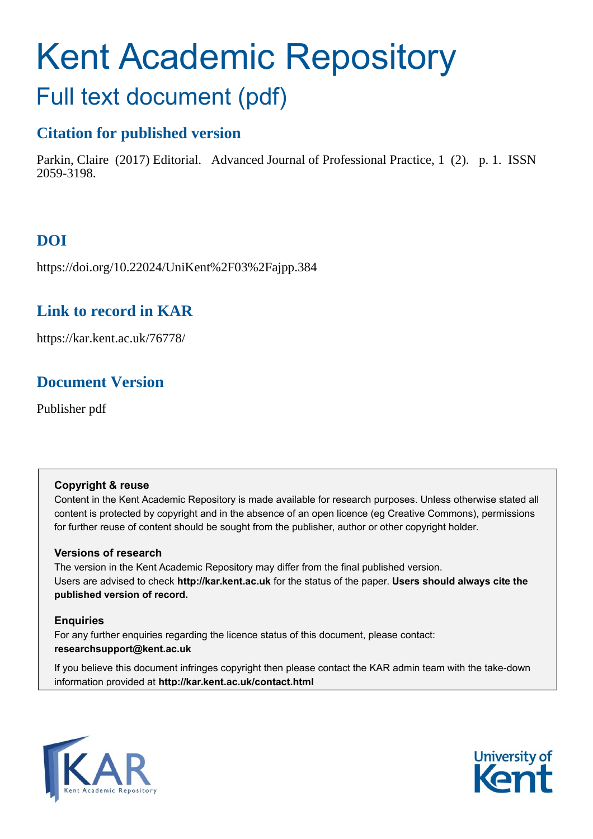# Kent Academic Repository

## Full text document (pdf)

### **Citation for published version**

Parkin, Claire (2017) Editorial. Advanced Journal of Professional Practice, 1 (2). p. 1. ISSN 2059-3198.

## **DOI**

https://doi.org/10.22024/UniKent%2F03%2Fajpp.384

## **Link to record in KAR**

https://kar.kent.ac.uk/76778/

## **Document Version**

Publisher pdf

#### **Copyright & reuse**

Content in the Kent Academic Repository is made available for research purposes. Unless otherwise stated all content is protected by copyright and in the absence of an open licence (eg Creative Commons), permissions for further reuse of content should be sought from the publisher, author or other copyright holder.

#### **Versions of research**

The version in the Kent Academic Repository may differ from the final published version. Users are advised to check **http://kar.kent.ac.uk** for the status of the paper. **Users should always cite the published version of record.**

#### **Enquiries**

For any further enquiries regarding the licence status of this document, please contact: **researchsupport@kent.ac.uk**

If you believe this document infringes copyright then please contact the KAR admin team with the take-down information provided at **http://kar.kent.ac.uk/contact.html**